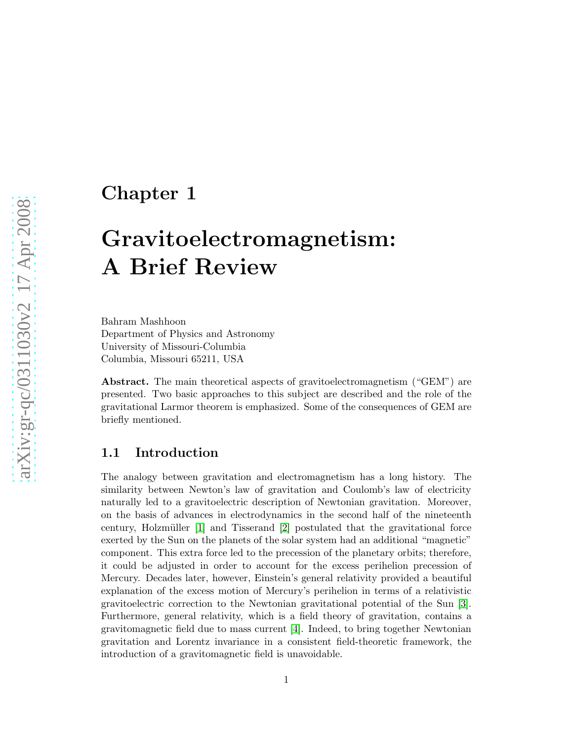### Chapter 1

# Gravitoelectromagnetism: A Brief Review

Bahram Mashhoon Department of Physics and Astronomy University of Missouri-Columbia Columbia, Missouri 65211, USA

Abstract. The main theoretical aspects of gravitoelectromagnetism ("GEM") are presented. Two basic approaches to this subject are described and the role of the gravitational Larmor theorem is emphasized. Some of the consequences of GEM are briefly mentioned.

#### 1.1 Introduction

The analogy between gravitation and electromagnetism has a long history. The similarity between Newton's law of gravitation and Coulomb's law of electricity naturally led to a gravitoelectric description of Newtonian gravitation. Moreover, on the basis of advances in electrodynamics in the second half of the nineteenth century, Holzmüller  $[1]$  and Tisserand  $[2]$  postulated that the gravitational force exerted by the Sun on the planets of the solar system had an additional "magnetic" component. This extra force led to the precession of the planetary orbits; therefore, it could be adjusted in order to account for the excess perihelion precession of Mercury. Decades later, however, Einstein's general relativity provided a beautiful explanation of the excess motion of Mercury's perihelion in terms of a relativistic gravitoelectric correction to the Newtonian gravitational potential of the Sun [\[3\]](#page-12-2). Furthermore, general relativity, which is a field theory of gravitation, contains a gravitomagnetic field due to mass current [\[4\]](#page-12-3). Indeed, to bring together Newtonian gravitation and Lorentz invariance in a consistent field-theoretic framework, the introduction of a gravitomagnetic field is unavoidable.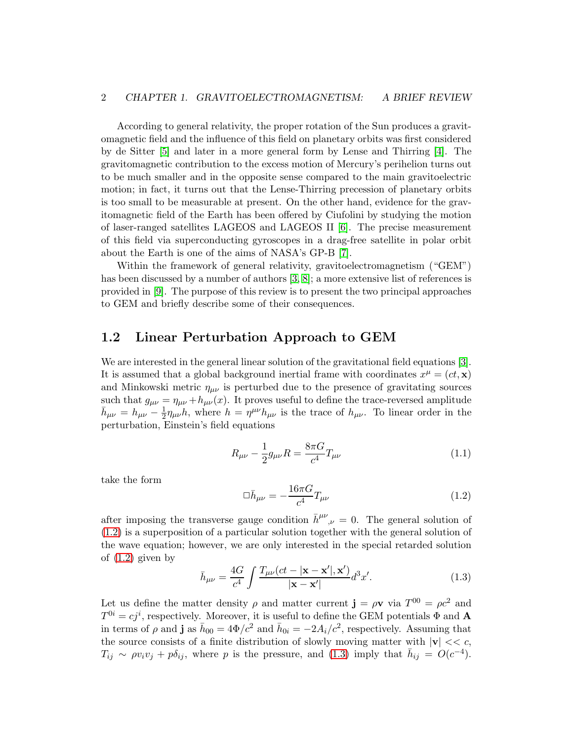According to general relativity, the proper rotation of the Sun produces a gravitomagnetic field and the influence of this field on planetary orbits was first considered by de Sitter [\[5\]](#page-12-4) and later in a more general form by Lense and Thirring [\[4\]](#page-12-3). The gravitomagnetic contribution to the excess motion of Mercury's perihelion turns out to be much smaller and in the opposite sense compared to the main gravitoelectric motion; in fact, it turns out that the Lense-Thirring precession of planetary orbits is too small to be measurable at present. On the other hand, evidence for the gravitomagnetic field of the Earth has been offered by Ciufolini by studying the motion of laser-ranged satellites LAGEOS and LAGEOS II [\[6\]](#page-12-5). The precise measurement of this field via superconducting gyroscopes in a drag-free satellite in polar orbit about the Earth is one of the aims of NASA's GP-B [\[7\]](#page-12-6).

Within the framework of general relativity, gravitoelectromagnetism ("GEM") has been discussed by a number of authors [\[3,](#page-12-2) [8\]](#page-12-7); a more extensive list of references is provided in [\[9\]](#page-12-8). The purpose of this review is to present the two principal approaches to GEM and briefly describe some of their consequences.

#### 1.2 Linear Perturbation Approach to GEM

We are interested in the general linear solution of the gravitational field equations [\[3\]](#page-12-2). It is assumed that a global background inertial frame with coordinates  $x^{\mu} = (ct, \mathbf{x})$ and Minkowski metric  $\eta_{\mu\nu}$  is perturbed due to the presence of gravitating sources such that  $g_{\mu\nu} = \eta_{\mu\nu} + h_{\mu\nu}(x)$ . It proves useful to define the trace-reversed amplitude  $\bar{h}_{\mu\nu} = h_{\mu\nu} - \frac{1}{2}$  $\frac{1}{2}\eta_{\mu\nu}h$ , where  $h = \eta^{\mu\nu}h_{\mu\nu}$  is the trace of  $h_{\mu\nu}$ . To linear order in the perturbation, Einstein's field equations

$$
R_{\mu\nu} - \frac{1}{2}g_{\mu\nu}R = \frac{8\pi G}{c^4}T_{\mu\nu}
$$
 (1.1)

take the form

<span id="page-1-0"></span>
$$
\Box \bar{h}_{\mu\nu} = -\frac{16\pi G}{c^4} T_{\mu\nu} \tag{1.2}
$$

after imposing the transverse gauge condition  $\bar{h}^{\mu\nu}_{,\nu} = 0$ . The general solution of [\(1.2\)](#page-1-0) is a superposition of a particular solution together with the general solution of the wave equation; however, we are only interested in the special retarded solution of  $(1.2)$  given by

<span id="page-1-1"></span>
$$
\bar{h}_{\mu\nu} = \frac{4G}{c^4} \int \frac{T_{\mu\nu}(ct - |\mathbf{x} - \mathbf{x}'|, \mathbf{x}')}{|\mathbf{x} - \mathbf{x}'|} d^3 x'. \tag{1.3}
$$

Let us define the matter density  $\rho$  and matter current  $\mathbf{j} = \rho \mathbf{v}$  via  $T^{00} = \rho c^2$  and  $T^{0i} = cj^i$ , respectively. Moreover, it is useful to define the GEM potentials  $\Phi$  and  $\mathbf{A}$ in terms of  $\rho$  and **j** as  $\bar{h}_{00} = 4\Phi/c^2$  and  $\bar{h}_{0i} = -2A_i/c^2$ , respectively. Assuming that the source consists of a finite distribution of slowly moving matter with  $|v| \ll c$ ,  $T_{ij} \sim \rho v_i v_j + p \delta_{ij}$ , where p is the pressure, and [\(1.3\)](#page-1-1) imply that  $\bar{h}_{ij} = O(c^{-4})$ .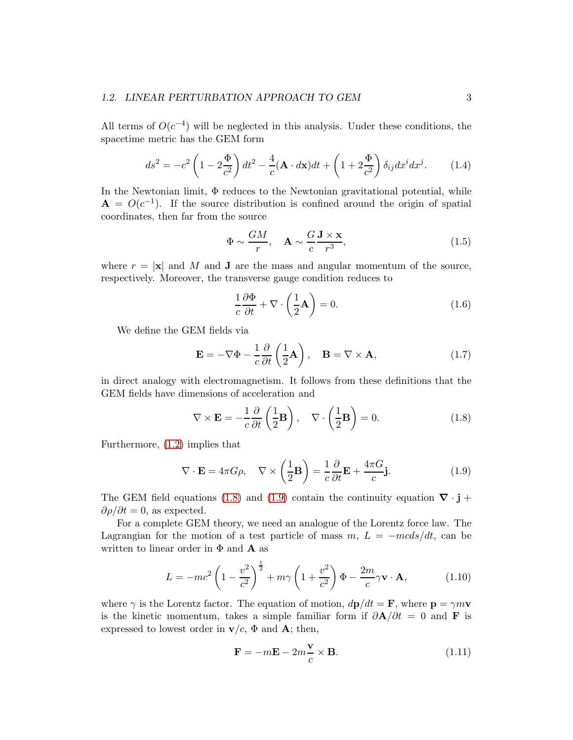All terms of  $O(c^{-4})$  will be neglected in this analysis. Under these conditions, the spacetime metric has the GEM form

<span id="page-2-2"></span>
$$
ds^2 = -c^2 \left(1 - 2\frac{\Phi}{c^2}\right) dt^2 - \frac{4}{c} (\mathbf{A} \cdot d\mathbf{x}) dt + \left(1 + 2\frac{\Phi}{c^2}\right) \delta_{ij} dx^i dx^j. \tag{1.4}
$$

In the Newtonian limit, Φ reduces to the Newtonian gravitational potential, while  $\mathbf{A} = O(c^{-1})$ . If the source distribution is confined around the origin of spatial coordinates, then far from the source

<span id="page-2-3"></span>
$$
\Phi \sim \frac{GM}{r}, \quad \mathbf{A} \sim \frac{G}{c} \frac{\mathbf{J} \times \mathbf{x}}{r^3},\tag{1.5}
$$

where  $r = |\mathbf{x}|$  and M and **J** are the mass and angular momentum of the source, respectively. Moreover, the transverse gauge condition reduces to

$$
\frac{1}{c}\frac{\partial \Phi}{\partial t} + \nabla \cdot \left(\frac{1}{2}\mathbf{A}\right) = 0.
$$
 (1.6)

We define the GEM fields via

$$
\mathbf{E} = -\nabla\Phi - \frac{1}{c}\frac{\partial}{\partial t}\left(\frac{1}{2}\mathbf{A}\right), \quad \mathbf{B} = \nabla \times \mathbf{A}, \tag{1.7}
$$

in direct analogy with electromagnetism. It follows from these definitions that the GEM fields have dimensions of acceleration and

<span id="page-2-0"></span>
$$
\nabla \times \mathbf{E} = -\frac{1}{c} \frac{\partial}{\partial t} \left( \frac{1}{2} \mathbf{B} \right), \quad \nabla \cdot \left( \frac{1}{2} \mathbf{B} \right) = 0.
$$
 (1.8)

Furthermore, [\(1.2\)](#page-1-0) implies that

<span id="page-2-1"></span>
$$
\nabla \cdot \mathbf{E} = 4\pi G \rho, \quad \nabla \times \left(\frac{1}{2}\mathbf{B}\right) = \frac{1}{c}\frac{\partial}{\partial t}\mathbf{E} + \frac{4\pi G}{c}\mathbf{j}.
$$
 (1.9)

The GEM field equations [\(1.8\)](#page-2-0) and [\(1.9\)](#page-2-1) contain the continuity equation  $\nabla \cdot \mathbf{j}$  +  $\partial \rho / \partial t = 0$ , as expected.

For a complete GEM theory, we need an analogue of the Lorentz force law. The Lagrangian for the motion of a test particle of mass  $m, L = -m c ds/dt$ , can be written to linear order in  $\Phi$  and  $\bf{A}$  as

$$
L = -mc^2 \left(1 - \frac{v^2}{c^2}\right)^{\frac{1}{2}} + m\gamma \left(1 + \frac{v^2}{c^2}\right) \Phi - \frac{2m}{c}\gamma \mathbf{v} \cdot \mathbf{A},\tag{1.10}
$$

where  $\gamma$  is the Lorentz factor. The equation of motion,  $d\mathbf{p}/dt = \mathbf{F}$ , where  $\mathbf{p} = \gamma m \mathbf{v}$ is the kinetic momentum, takes a simple familiar form if  $\partial \mathbf{A}/\partial t = 0$  and **F** is expressed to lowest order in  $\mathbf{v}/c$ ,  $\Phi$  and **A**; then,

$$
\mathbf{F} = -m\mathbf{E} - 2m\frac{\mathbf{v}}{c} \times \mathbf{B}.
$$
 (1.11)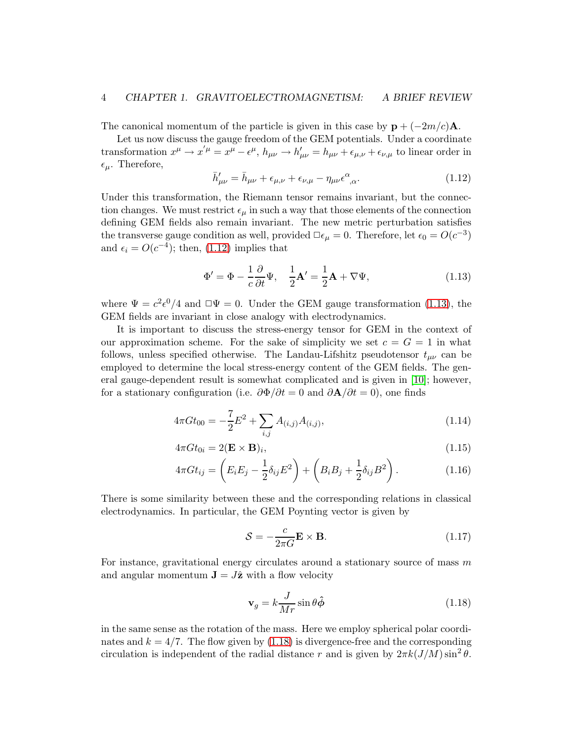The canonical momentum of the particle is given in this case by  $\mathbf{p} + (-2m/c)\mathbf{A}$ .

Let us now discuss the gauge freedom of the GEM potentials. Under a coordinate transformation  $x^{\mu} \to x'^{\mu} = x^{\mu} - \epsilon^{\mu}$ ,  $h_{\mu\nu} \to h'_{\mu\nu} = h_{\mu\nu} + \epsilon_{\mu,\nu} + \epsilon_{\nu,\mu}$  to linear order in  $\epsilon_{\mu}$ . Therefore,

<span id="page-3-0"></span>
$$
\bar{h}'_{\mu\nu} = \bar{h}_{\mu\nu} + \epsilon_{\mu,\nu} + \epsilon_{\nu,\mu} - \eta_{\mu\nu}\epsilon^{\alpha}_{\ \alpha}.\tag{1.12}
$$

Under this transformation, the Riemann tensor remains invariant, but the connection changes. We must restrict  $\epsilon_{\mu}$  in such a way that those elements of the connection defining GEM fields also remain invariant. The new metric perturbation satisfies the transverse gauge condition as well, provided  $\Box \epsilon_{\mu} = 0$ . Therefore, let  $\epsilon_0 = O(c^{-3})$ and  $\epsilon_i = O(c^{-4})$ ; then, [\(1.12\)](#page-3-0) implies that

<span id="page-3-1"></span>
$$
\Phi' = \Phi - \frac{1}{c} \frac{\partial}{\partial t} \Psi, \quad \frac{1}{2} \mathbf{A}' = \frac{1}{2} \mathbf{A} + \nabla \Psi,
$$
\n(1.13)

where  $\Psi = c^2 \epsilon^0 / 4$  and  $\Psi = 0$ . Under the GEM gauge transformation [\(1.13\)](#page-3-1), the GEM fields are invariant in close analogy with electrodynamics.

It is important to discuss the stress-energy tensor for GEM in the context of our approximation scheme. For the sake of simplicity we set  $c = G = 1$  in what follows, unless specified otherwise. The Landau-Lifshitz pseudotensor  $t_{\mu\nu}$  can be employed to determine the local stress-energy content of the GEM fields. The general gauge-dependent result is somewhat complicated and is given in [\[10\]](#page-13-0); however, for a stationary configuration (i.e.  $\partial \Phi / \partial t = 0$  and  $\partial \mathbf{A} / \partial t = 0$ ), one finds

$$
4\pi G t_{00} = -\frac{7}{2} E^2 + \sum_{i,j} A_{(i,j)} A_{(i,j)}, \qquad (1.14)
$$

$$
4\pi G t_{0i} = 2(\mathbf{E} \times \mathbf{B})_i,\tag{1.15}
$$

$$
4\pi G t_{ij} = \left( E_i E_j - \frac{1}{2} \delta_{ij} E^2 \right) + \left( B_i B_j + \frac{1}{2} \delta_{ij} B^2 \right). \tag{1.16}
$$

There is some similarity between these and the corresponding relations in classical electrodynamics. In particular, the GEM Poynting vector is given by

$$
S = -\frac{c}{2\pi G} \mathbf{E} \times \mathbf{B}.
$$
 (1.17)

For instance, gravitational energy circulates around a stationary source of mass  $m$ and angular momentum  $\mathbf{J} = J\hat{\mathbf{z}}$  with a flow velocity

<span id="page-3-2"></span>
$$
\mathbf{v}_g = k \frac{J}{Mr} \sin \theta \hat{\boldsymbol{\phi}} \tag{1.18}
$$

in the same sense as the rotation of the mass. Here we employ spherical polar coordinates and  $k = 4/7$ . The flow given by [\(1.18\)](#page-3-2) is divergence-free and the corresponding circulation is independent of the radial distance r and is given by  $2\pi k(J/M)\sin^2\theta$ .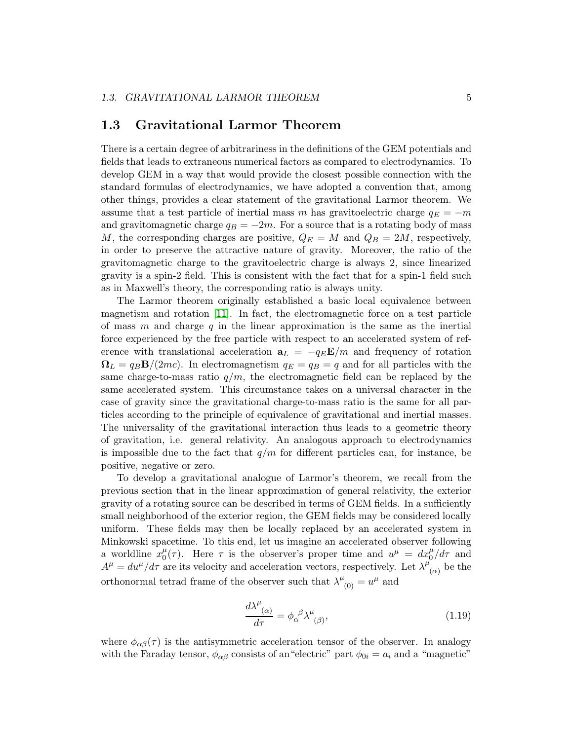#### 1.3 Gravitational Larmor Theorem

There is a certain degree of arbitrariness in the definitions of the GEM potentials and fields that leads to extraneous numerical factors as compared to electrodynamics. To develop GEM in a way that would provide the closest possible connection with the standard formulas of electrodynamics, we have adopted a convention that, among other things, provides a clear statement of the gravitational Larmor theorem. We assume that a test particle of inertial mass m has gravitoelectric charge  $q_E = -m$ and gravitomagnetic charge  $q_B = -2m$ . For a source that is a rotating body of mass M, the corresponding charges are positive,  $Q_E = M$  and  $Q_B = 2M$ , respectively, in order to preserve the attractive nature of gravity. Moreover, the ratio of the gravitomagnetic charge to the gravitoelectric charge is always 2, since linearized gravity is a spin-2 field. This is consistent with the fact that for a spin-1 field such as in Maxwell's theory, the corresponding ratio is always unity.

The Larmor theorem originally established a basic local equivalence between magnetism and rotation [\[11\]](#page-13-1). In fact, the electromagnetic force on a test particle of mass  $m$  and charge  $q$  in the linear approximation is the same as the inertial force experienced by the free particle with respect to an accelerated system of reference with translational acceleration  $a_L = -q_E \mathbf{E}/m$  and frequency of rotation  $\Omega_L = q_B \mathbf{B}/(2mc)$ . In electromagnetism  $q_E = q_B = q$  and for all particles with the same charge-to-mass ratio  $q/m$ , the electromagnetic field can be replaced by the same accelerated system. This circumstance takes on a universal character in the case of gravity since the gravitational charge-to-mass ratio is the same for all particles according to the principle of equivalence of gravitational and inertial masses. The universality of the gravitational interaction thus leads to a geometric theory of gravitation, i.e. general relativity. An analogous approach to electrodynamics is impossible due to the fact that  $q/m$  for different particles can, for instance, be positive, negative or zero.

To develop a gravitational analogue of Larmor's theorem, we recall from the previous section that in the linear approximation of general relativity, the exterior gravity of a rotating source can be described in terms of GEM fields. In a sufficiently small neighborhood of the exterior region, the GEM fields may be considered locally uniform. These fields may then be locally replaced by an accelerated system in Minkowski spacetime. To this end, let us imagine an accelerated observer following a worldline  $x_0^{\mu}$  $u^{\mu}$  ( $\tau$ ). Here  $\tau$  is the observer's proper time and  $u^{\mu} = dx^{\mu}_{0}/d\tau$  and  $A^{\mu} = du^{\mu}/d\tau$  are its velocity and acceleration vectors, respectively. Let  $\lambda^{\mu}$  $(\alpha)$  be the orthonormal tetrad frame of the observer such that  $\lambda^{\mu}_{(0)} = u^{\mu}$  and

$$
\frac{d\lambda^{\mu}_{\ (\alpha)}}{d\tau} = \phi_{\alpha}^{\ \beta} \lambda^{\mu}_{\ (\beta)},\tag{1.19}
$$

where  $\phi_{\alpha\beta}(\tau)$  is the antisymmetric acceleration tensor of the observer. In analogy with the Faraday tensor,  $\phi_{\alpha\beta}$  consists of an "electric" part  $\phi_{0i} = a_i$  and a "magnetic"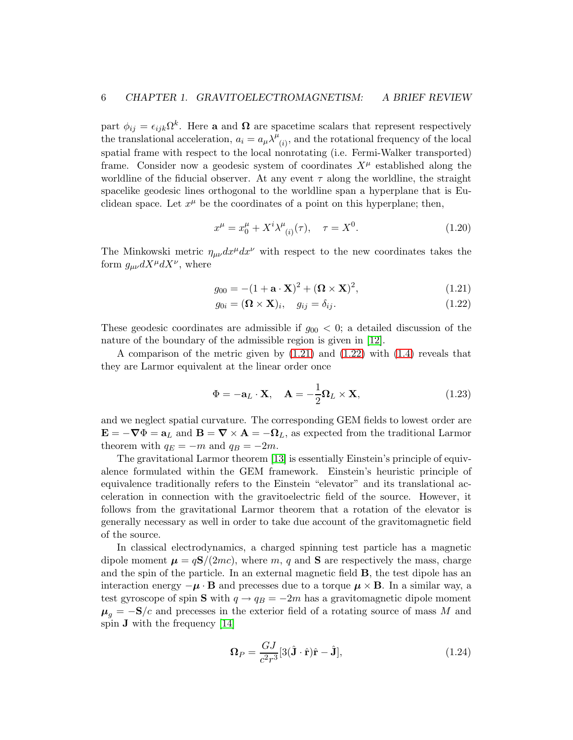part  $\phi_{ij} = \epsilon_{ijk}\Omega^k$ . Here a and  $\Omega$  are spacetime scalars that represent respectively the translational acceleration,  $a_i = a_\mu \lambda^{\mu}$  $\mathbf{r}_{(i)}$ , and the rotational frequency of the local spatial frame with respect to the local nonrotating (i.e. Fermi-Walker transported) frame. Consider now a geodesic system of coordinates  $X^{\mu}$  established along the worldline of the fiducial observer. At any event  $\tau$  along the worldline, the straight spacelike geodesic lines orthogonal to the worldline span a hyperplane that is Euclidean space. Let  $x^{\mu}$  be the coordinates of a point on this hyperplane; then,

$$
x^{\mu} = x_0^{\mu} + X^i \lambda_{(i)}^{\mu}(\tau), \quad \tau = X^0.
$$
 (1.20)

The Minkowski metric  $\eta_{\mu\nu}dx^{\mu}dx^{\nu}$  with respect to the new coordinates takes the form  $g_{\mu\nu}dX^{\mu}dX^{\nu}$ , where

$$
g_{00} = -(1 + \mathbf{a} \cdot \mathbf{X})^2 + (\mathbf{\Omega} \times \mathbf{X})^2, \tag{1.21}
$$

<span id="page-5-1"></span><span id="page-5-0"></span>
$$
g_{0i} = (\mathbf{\Omega} \times \mathbf{X})_i, \quad g_{ij} = \delta_{ij}.
$$
\n(1.22)

These geodesic coordinates are admissible if  $g_{00} < 0$ ; a detailed discussion of the nature of the boundary of the admissible region is given in [\[12\]](#page-13-2).

A comparison of the metric given by [\(1.21\)](#page-5-0) and [\(1.22\)](#page-5-1) with [\(1.4\)](#page-2-2) reveals that they are Larmor equivalent at the linear order once

$$
\Phi = -\mathbf{a}_L \cdot \mathbf{X}, \quad \mathbf{A} = -\frac{1}{2} \mathbf{\Omega}_L \times \mathbf{X}, \tag{1.23}
$$

and we neglect spatial curvature. The corresponding GEM fields to lowest order are  $\mathbf{E} = -\nabla \Phi = \mathbf{a}_L$  and  $\mathbf{B} = \nabla \times \mathbf{A} = -\mathbf{\Omega}_L$ , as expected from the traditional Larmor theorem with  $q_E = -m$  and  $q_B = -2m$ .

The gravitational Larmor theorem [\[13\]](#page-13-3) is essentially Einstein's principle of equivalence formulated within the GEM framework. Einstein's heuristic principle of equivalence traditionally refers to the Einstein "elevator" and its translational acceleration in connection with the gravitoelectric field of the source. However, it follows from the gravitational Larmor theorem that a rotation of the elevator is generally necessary as well in order to take due account of the gravitomagnetic field of the source.

In classical electrodynamics, a charged spinning test particle has a magnetic dipole moment  $\mu = qS/(2mc)$ , where m, q and **S** are respectively the mass, charge and the spin of the particle. In an external magnetic field B, the test dipole has an interaction energy  $-\mu \cdot \mathbf{B}$  and precesses due to a torque  $\mu \times \mathbf{B}$ . In a similar way, a test gyroscope of spin S with  $q \rightarrow q_B = -2m$  has a gravitomagnetic dipole moment  $\mu_q = -S/c$  and precesses in the exterior field of a rotating source of mass M and spin J with the frequency [\[14\]](#page-13-4)

<span id="page-5-2"></span>
$$
\Omega_P = \frac{GJ}{c^2 r^3} [3(\hat{\mathbf{J}} \cdot \hat{\mathbf{r}}) \hat{\mathbf{r}} - \hat{\mathbf{J}}],\tag{1.24}
$$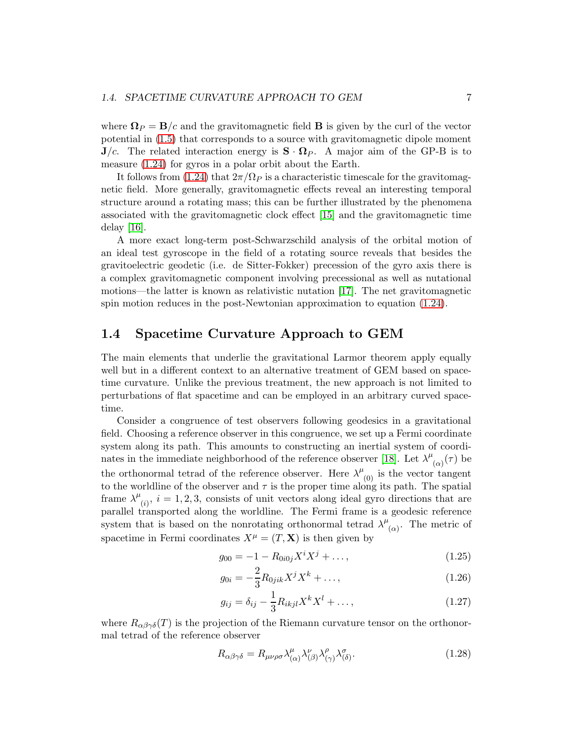where  $\Omega_P = B/c$  and the gravitomagnetic field **B** is given by the curl of the vector potential in [\(1.5\)](#page-2-3) that corresponds to a source with gravitomagnetic dipole moment  $J/c$ . The related interaction energy is  $S \cdot \Omega_P$ . A major aim of the GP-B is to measure [\(1.24\)](#page-5-2) for gyros in a polar orbit about the Earth.

It follows from [\(1.24\)](#page-5-2) that  $2\pi/\Omega_P$  is a characteristic timescale for the gravitomagnetic field. More generally, gravitomagnetic effects reveal an interesting temporal structure around a rotating mass; this can be further illustrated by the phenomena associated with the gravitomagnetic clock effect [\[15\]](#page-13-5) and the gravitomagnetic time delay [\[16\]](#page-13-6).

A more exact long-term post-Schwarzschild analysis of the orbital motion of an ideal test gyroscope in the field of a rotating source reveals that besides the gravitoelectric geodetic (i.e. de Sitter-Fokker) precession of the gyro axis there is a complex gravitomagnetic component involving precessional as well as nutational motions—the latter is known as relativistic nutation [\[17\]](#page-13-7). The net gravitomagnetic spin motion reduces in the post-Newtonian approximation to equation [\(1.24\)](#page-5-2).

#### 1.4 Spacetime Curvature Approach to GEM

The main elements that underlie the gravitational Larmor theorem apply equally well but in a different context to an alternative treatment of GEM based on spacetime curvature. Unlike the previous treatment, the new approach is not limited to perturbations of flat spacetime and can be employed in an arbitrary curved spacetime.

Consider a congruence of test observers following geodesics in a gravitational field. Choosing a reference observer in this congruence, we set up a Fermi coordinate system along its path. This amounts to constructing an inertial system of coordi-nates in the immediate neighborhood of the reference observer [\[18\]](#page-13-8). Let  $\lambda^{\mu}$  $\mathcal{L}_{(\alpha)}(\tau)$  be the orthonormal tetrad of the reference observer. Here  $\lambda^{\mu}_{(0)}$  is the vector tangent to the worldline of the observer and  $\tau$  is the proper time along its path. The spatial frame  $\lambda^{\mu}$  $(i)$ ,  $i = 1, 2, 3$ , consists of unit vectors along ideal gyro directions that are parallel transported along the worldline. The Fermi frame is a geodesic reference system that is based on the nonrotating orthonormal tetrad  $\lambda^{\mu}$  $\alpha$ . The metric of spacetime in Fermi coordinates  $X^{\mu} = (T, \mathbf{X})$  is then given by

<span id="page-6-0"></span>
$$
g_{00} = -1 - R_{0i0j} X^i X^j + \dots,\tag{1.25}
$$

<span id="page-6-1"></span>
$$
g_{0i} = -\frac{2}{3} R_{0jik} X^j X^k + \dots,\tag{1.26}
$$

<span id="page-6-2"></span>
$$
g_{ij} = \delta_{ij} - \frac{1}{3} R_{ikjl} X^k X^l + \dots,
$$
\n(1.27)

where  $R_{\alpha\beta\gamma\delta}(T)$  is the projection of the Riemann curvature tensor on the orthonormal tetrad of the reference observer

$$
R_{\alpha\beta\gamma\delta} = R_{\mu\nu\rho\sigma} \lambda_{(\alpha)}^{\mu} \lambda_{(\beta)}^{\nu} \lambda_{(\gamma)}^{\rho} \lambda_{(\delta)}^{\sigma}.
$$
\n(1.28)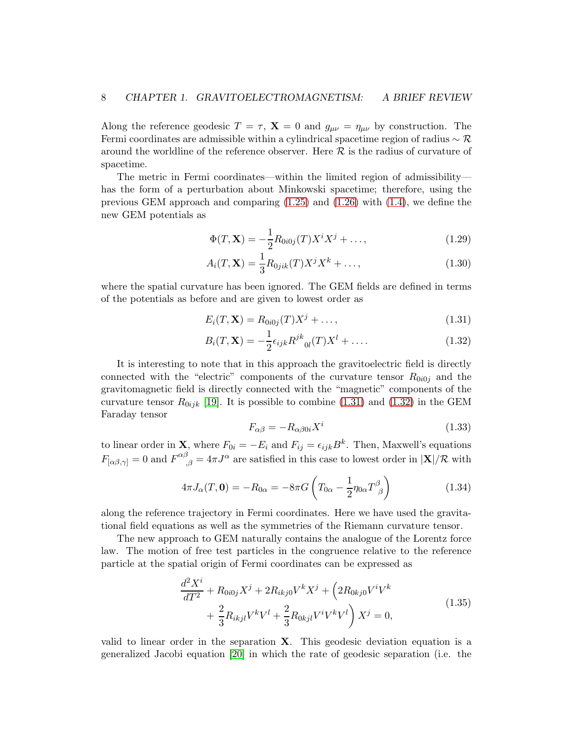Along the reference geodesic  $T = \tau$ ,  $\mathbf{X} = 0$  and  $g_{\mu\nu} = \eta_{\mu\nu}$  by construction. The Fermi coordinates are admissible within a cylindrical spacetime region of radius  $\sim \mathcal{R}$ around the worldline of the reference observer. Here  $\mathcal R$  is the radius of curvature of spacetime.

The metric in Fermi coordinates—within the limited region of admissibility has the form of a perturbation about Minkowski spacetime; therefore, using the previous GEM approach and comparing  $(1.25)$  and  $(1.26)$  with  $(1.4)$ , we define the new GEM potentials as

$$
\Phi(T, \mathbf{X}) = -\frac{1}{2} R_{0i0j}(T) X^i X^j + \dots, \qquad (1.29)
$$

$$
A_i(T, \mathbf{X}) = \frac{1}{3} R_{0jik}(T) X^j X^k + \dots,
$$
\n(1.30)

where the spatial curvature has been ignored. The GEM fields are defined in terms of the potentials as before and are given to lowest order as

$$
E_i(T, \mathbf{X}) = R_{0i0j}(T)X^j + \dots,
$$
\n(1.31)

$$
B_i(T, \mathbf{X}) = -\frac{1}{2} \epsilon_{ijk} R^{jk}_{\ \ 0l}(T) X^l + \dots \tag{1.32}
$$

It is interesting to note that in this approach the gravitoelectric field is directly connected with the "electric" components of the curvature tensor  $R_{0i0j}$  and the gravitomagnetic field is directly connected with the "magnetic" components of the curvature tensor  $R_{0ijk}$  [\[19\]](#page-13-9). It is possible to combine [\(1.31\)](#page-7-0) and [\(1.32\)](#page-7-1) in the GEM Faraday tensor

<span id="page-7-3"></span><span id="page-7-1"></span><span id="page-7-0"></span>
$$
F_{\alpha\beta} = -R_{\alpha\beta 0i} X^i \tag{1.33}
$$

to linear order in **X**, where  $F_{0i} = -E_i$  and  $F_{ij} = \epsilon_{ijk}B^k$ . Then, Maxwell's equations  $F_{[\alpha\beta,\gamma]} = 0$  and  $F^{\alpha\beta}_{\quad;\beta} = 4\pi J^{\alpha}$  are satisfied in this case to lowest order in  $|\mathbf{X}|/\mathcal{R}$  with

$$
4\pi J_{\alpha}(T, \mathbf{0}) = -R_{0\alpha} = -8\pi G \left( T_{0\alpha} - \frac{1}{2} \eta_{0\alpha} T^{\beta}_{\ \beta} \right) \tag{1.34}
$$

along the reference trajectory in Fermi coordinates. Here we have used the gravitational field equations as well as the symmetries of the Riemann curvature tensor.

The new approach to GEM naturally contains the analogue of the Lorentz force law. The motion of free test particles in the congruence relative to the reference particle at the spatial origin of Fermi coordinates can be expressed as

$$
\frac{d^2X^i}{dT^2} + R_{0i0j}X^j + 2R_{ikj0}V^kX^j + \left(2R_{0kj0}V^iV^k\right) + \frac{2}{3}R_{ikjl}V^kV^l + \frac{2}{3}R_{0kjl}V^iV^kV^l\right)X^j = 0,
$$
\n(1.35)

<span id="page-7-2"></span>valid to linear order in the separation  $X$ . This geodesic deviation equation is a generalized Jacobi equation [\[20\]](#page-13-10) in which the rate of geodesic separation (i.e. the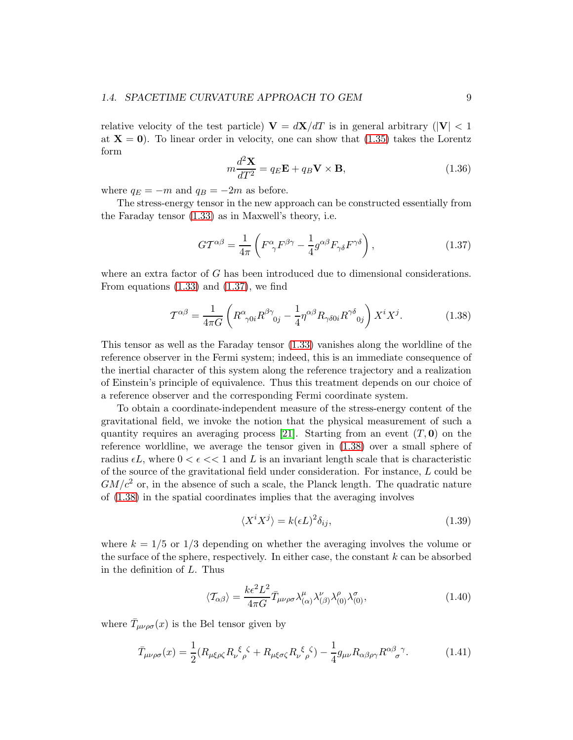relative velocity of the test particle)  $V = dX/dT$  is in general arbitrary ( $|V| < 1$ at  $X = 0$ . To linear order in velocity, one can show that [\(1.35\)](#page-7-2) takes the Lorentz form

$$
m\frac{d^2\mathbf{X}}{dT^2} = q_E \mathbf{E} + q_B \mathbf{V} \times \mathbf{B},\tag{1.36}
$$

where  $q_E = -m$  and  $q_B = -2m$  as before.

The stress-energy tensor in the new approach can be constructed essentially from the Faraday tensor [\(1.33\)](#page-7-3) as in Maxwell's theory, i.e.

<span id="page-8-0"></span>
$$
GT^{\alpha\beta} = \frac{1}{4\pi} \left( F^{\alpha}_{\ \gamma} F^{\beta\gamma} - \frac{1}{4} g^{\alpha\beta} F_{\gamma\delta} F^{\gamma\delta} \right),\tag{1.37}
$$

where an extra factor of G has been introduced due to dimensional considerations. From equations  $(1.33)$  and  $(1.37)$ , we find

<span id="page-8-1"></span>
$$
\mathcal{T}^{\alpha\beta} = \frac{1}{4\pi G} \left( R^{\alpha}_{\gamma 0i} R^{\beta \gamma}_{\ \ 0j} - \frac{1}{4} \eta^{\alpha\beta} R_{\gamma \delta 0i} R^{\gamma \delta}_{\ \ 0j} \right) X^{i} X^{j}.
$$
 (1.38)

This tensor as well as the Faraday tensor [\(1.33\)](#page-7-3) vanishes along the worldline of the reference observer in the Fermi system; indeed, this is an immediate consequence of the inertial character of this system along the reference trajectory and a realization of Einstein's principle of equivalence. Thus this treatment depends on our choice of a reference observer and the corresponding Fermi coordinate system.

To obtain a coordinate-independent measure of the stress-energy content of the gravitational field, we invoke the notion that the physical measurement of such a quantity requires an averaging process [\[21\]](#page-13-11). Starting from an event  $(T, 0)$  on the reference worldline, we average the tensor given in [\(1.38\)](#page-8-1) over a small sphere of radius  $\epsilon L$ , where  $0 < \epsilon \ll 1$  and L is an invariant length scale that is characteristic of the source of the gravitational field under consideration. For instance, L could be  $GM/c^2$  or, in the absence of such a scale, the Planck length. The quadratic nature of [\(1.38\)](#page-8-1) in the spatial coordinates implies that the averaging involves

$$
\langle X^i X^j \rangle = k(\epsilon L)^2 \delta_{ij},\tag{1.39}
$$

where  $k = 1/5$  or  $1/3$  depending on whether the averaging involves the volume or the surface of the sphere, respectively. In either case, the constant  $k$  can be absorbed in the definition of L. Thus

$$
\langle \mathcal{T}_{\alpha\beta} \rangle = \frac{k\epsilon^2 L^2}{4\pi G} \bar{T}_{\mu\nu\rho\sigma} \lambda^{\mu}_{(\alpha)} \lambda^{\nu}_{(\beta)} \lambda^{\rho}_{(0)} \lambda^{\sigma}_{(0)}, \tag{1.40}
$$

where  $\bar{T}_{\mu\nu\rho\sigma}(x)$  is the Bel tensor given by

$$
\bar{T}_{\mu\nu\rho\sigma}(x) = \frac{1}{2} (R_{\mu\xi\rho\zeta} R_{\nu}{}^{\xi}{}_{\rho}{}^{\zeta} + R_{\mu\xi\sigma\zeta} R_{\nu}{}^{\xi}{}_{\rho}{}^{\zeta}) - \frac{1}{4} g_{\mu\nu} R_{\alpha\beta\rho\gamma} R^{\alpha\beta}{}_{\sigma}{}^{\gamma}.
$$
 (1.41)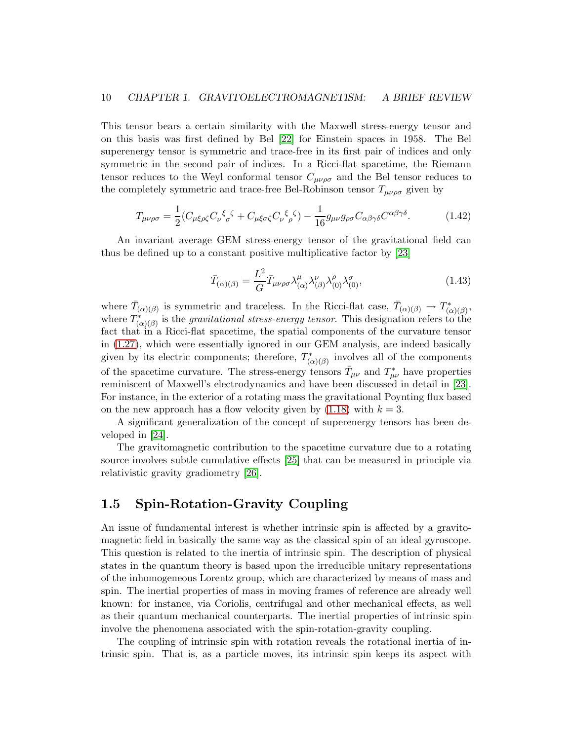This tensor bears a certain similarity with the Maxwell stress-energy tensor and on this basis was first defined by Bel [\[22\]](#page-13-12) for Einstein spaces in 1958. The Bel superenergy tensor is symmetric and trace-free in its first pair of indices and only symmetric in the second pair of indices. In a Ricci-flat spacetime, the Riemann tensor reduces to the Weyl conformal tensor  $C_{\mu\nu\rho\sigma}$  and the Bel tensor reduces to the completely symmetric and trace-free Bel-Robinson tensor  $T_{\mu\nu\rho\sigma}$  given by

$$
T_{\mu\nu\rho\sigma} = \frac{1}{2} (C_{\mu\xi\rho\zeta} C_{\nu}{}^{\xi}{}_{\sigma}{}^{\zeta} + C_{\mu\xi\sigma\zeta} C_{\nu}{}^{\xi}{}_{\rho}{}^{\zeta}) - \frac{1}{16} g_{\mu\nu} g_{\rho\sigma} C_{\alpha\beta\gamma\delta} C^{\alpha\beta\gamma\delta}.
$$
 (1.42)

An invariant average GEM stress-energy tensor of the gravitational field can thus be defined up to a constant positive multiplicative factor by [\[23\]](#page-13-13)

$$
\bar{T}_{(\alpha)(\beta)} = \frac{L^2}{G} \bar{T}_{\mu\nu\rho\sigma} \lambda^{\mu}_{(\alpha)} \lambda^{\nu}_{(\beta)} \lambda^{\rho}_{(0)} \lambda^{\sigma}_{(0)},
$$
\n(1.43)

where  $\bar{T}_{(\alpha)(\beta)}$  is symmetric and traceless. In the Ricci-flat case,  $\bar{T}_{(\alpha)(\beta)} \to T_{(\beta)}^*$  $\hspace{0.1em} \rule{0.7pt}{0.8em}^{\ast} \hspace{0.1em} (\alpha)(\beta) \hspace{0.1em},$ where  $T_{\alpha}^*$  $\chi^*_{(\alpha)(\beta)}$  is the *gravitational stress-energy tensor*. This designation refers to the fact that in a Ricci-flat spacetime, the spatial components of the curvature tensor in [\(1.27\)](#page-6-2), which were essentially ignored in our GEM analysis, are indeed basically given by its electric components; therefore,  $T^*_{\alpha}$ <sup>\*</sup><sub>( $\alpha$ )( $\beta$ ) involves all of the components</sub> of the spacetime curvature. The stress-energy tensors  $\bar{T}_{\mu\nu}$  and  $T^*_{\mu\nu}$  have properties reminiscent of Maxwell's electrodynamics and have been discussed in detail in [\[23\]](#page-13-13). For instance, in the exterior of a rotating mass the gravitational Poynting flux based on the new approach has a flow velocity given by  $(1.18)$  with  $k = 3$ .

A significant generalization of the concept of superenergy tensors has been developed in [\[24\]](#page-13-14).

The gravitomagnetic contribution to the spacetime curvature due to a rotating source involves subtle cumulative effects [\[25\]](#page-13-15) that can be measured in principle via relativistic gravity gradiometry [\[26\]](#page-14-0).

#### 1.5 Spin-Rotation-Gravity Coupling

An issue of fundamental interest is whether intrinsic spin is affected by a gravitomagnetic field in basically the same way as the classical spin of an ideal gyroscope. This question is related to the inertia of intrinsic spin. The description of physical states in the quantum theory is based upon the irreducible unitary representations of the inhomogeneous Lorentz group, which are characterized by means of mass and spin. The inertial properties of mass in moving frames of reference are already well known: for instance, via Coriolis, centrifugal and other mechanical effects, as well as their quantum mechanical counterparts. The inertial properties of intrinsic spin involve the phenomena associated with the spin-rotation-gravity coupling.

The coupling of intrinsic spin with rotation reveals the rotational inertia of intrinsic spin. That is, as a particle moves, its intrinsic spin keeps its aspect with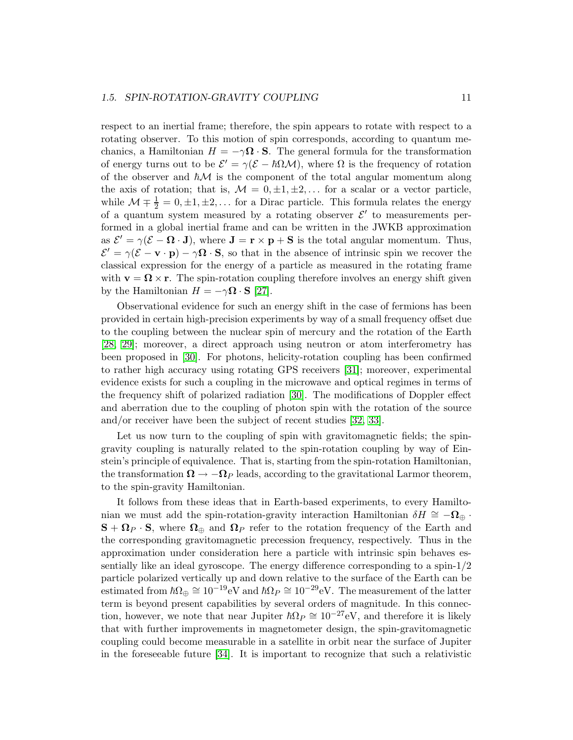#### *1.5. SPIN-ROTATION-GRAVITY COUPLING* 11

respect to an inertial frame; therefore, the spin appears to rotate with respect to a rotating observer. To this motion of spin corresponds, according to quantum mechanics, a Hamiltonian  $H = -\gamma \Omega \cdot S$ . The general formula for the transformation of energy turns out to be  $\mathcal{E}' = \gamma(\mathcal{E} - \hbar \Omega \mathcal{M})$ , where  $\Omega$  is the frequency of rotation of the observer and  $\hbar M$  is the component of the total angular momentum along the axis of rotation; that is,  $\mathcal{M} = 0, \pm 1, \pm 2, \ldots$  for a scalar or a vector particle, while  $\mathcal{M} \mp \frac{1}{2} = 0, \pm 1, \pm 2, \dots$  for a Dirac particle. This formula relates the energy of a quantum system measured by a rotating observer  $\mathcal{E}'$  to measurements performed in a global inertial frame and can be written in the JWKB approximation as  $\mathcal{E}' = \gamma(\mathcal{E} - \mathbf{\Omega} \cdot \mathbf{J})$ , where  $\mathbf{J} = \mathbf{r} \times \mathbf{p} + \mathbf{S}$  is the total angular momentum. Thus,  $\mathcal{E}' = \gamma(\mathcal{E} - \mathbf{v} \cdot \mathbf{p}) - \gamma \mathbf{\Omega} \cdot \mathbf{S}$ , so that in the absence of intrinsic spin we recover the classical expression for the energy of a particle as measured in the rotating frame with  $\mathbf{v} = \mathbf{\Omega} \times \mathbf{r}$ . The spin-rotation coupling therefore involves an energy shift given by the Hamiltonian  $H = -\gamma \Omega \cdot S$  [\[27\]](#page-14-1).

Observational evidence for such an energy shift in the case of fermions has been provided in certain high-precision experiments by way of a small frequency offset due to the coupling between the nuclear spin of mercury and the rotation of the Earth [\[28,](#page-14-2) [29\]](#page-14-3); moreover, a direct approach using neutron or atom interferometry has been proposed in [\[30\]](#page-14-4). For photons, helicity-rotation coupling has been confirmed to rather high accuracy using rotating GPS receivers [\[31\]](#page-14-5); moreover, experimental evidence exists for such a coupling in the microwave and optical regimes in terms of the frequency shift of polarized radiation [\[30\]](#page-14-4). The modifications of Doppler effect and aberration due to the coupling of photon spin with the rotation of the source and/or receiver have been the subject of recent studies [\[32,](#page-14-6) [33\]](#page-14-7).

Let us now turn to the coupling of spin with gravitomagnetic fields; the spingravity coupling is naturally related to the spin-rotation coupling by way of Einstein's principle of equivalence. That is, starting from the spin-rotation Hamiltonian, the transformation  $\Omega \to -\Omega_P$  leads, according to the gravitational Larmor theorem, to the spin-gravity Hamiltonian.

It follows from these ideas that in Earth-based experiments, to every Hamiltonian we must add the spin-rotation-gravity interaction Hamiltonian  $\delta H \cong -\Omega_{\oplus}$ .  $S + \Omega_P \cdot S$ , where  $\Omega_{\oplus}$  and  $\Omega_P$  refer to the rotation frequency of the Earth and the corresponding gravitomagnetic precession frequency, respectively. Thus in the approximation under consideration here a particle with intrinsic spin behaves essentially like an ideal gyroscope. The energy difference corresponding to a spin-1/2 particle polarized vertically up and down relative to the surface of the Earth can be estimated from  $\hbar\Omega_{\oplus} \cong 10^{-19}$  eV and  $\hbar\Omega_P \cong 10^{-29}$  eV. The measurement of the latter term is beyond present capabilities by several orders of magnitude. In this connection, however, we note that near Jupiter  $\hbar\Omega_P \cong 10^{-27}$  eV, and therefore it is likely that with further improvements in magnetometer design, the spin-gravitomagnetic coupling could become measurable in a satellite in orbit near the surface of Jupiter in the foreseeable future [\[34\]](#page-14-8). It is important to recognize that such a relativistic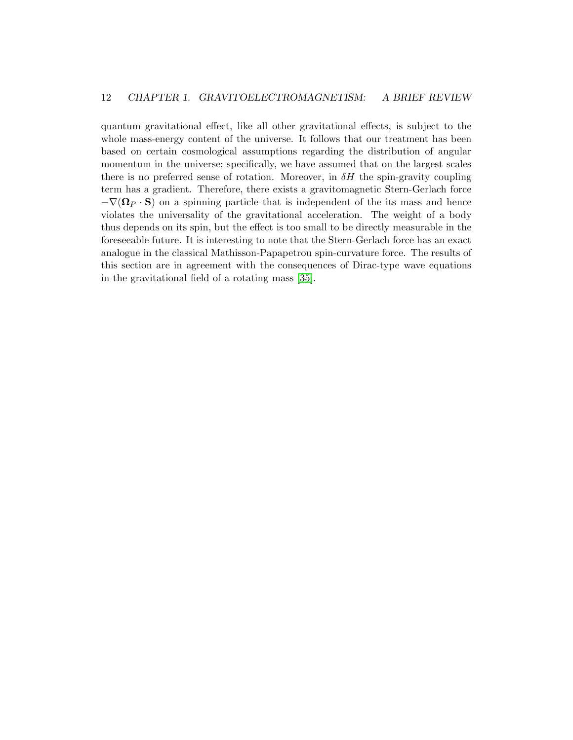quantum gravitational effect, like all other gravitational effects, is subject to the whole mass-energy content of the universe. It follows that our treatment has been based on certain cosmological assumptions regarding the distribution of angular momentum in the universe; specifically, we have assumed that on the largest scales there is no preferred sense of rotation. Moreover, in  $\delta H$  the spin-gravity coupling term has a gradient. Therefore, there exists a gravitomagnetic Stern-Gerlach force  $-\nabla(\mathbf{\Omega}_P \cdot \mathbf{S})$  on a spinning particle that is independent of the its mass and hence violates the universality of the gravitational acceleration. The weight of a body thus depends on its spin, but the effect is too small to be directly measurable in the foreseeable future. It is interesting to note that the Stern-Gerlach force has an exact analogue in the classical Mathisson-Papapetrou spin-curvature force. The results of this section are in agreement with the consequences of Dirac-type wave equations in the gravitational field of a rotating mass [\[35\]](#page-14-9).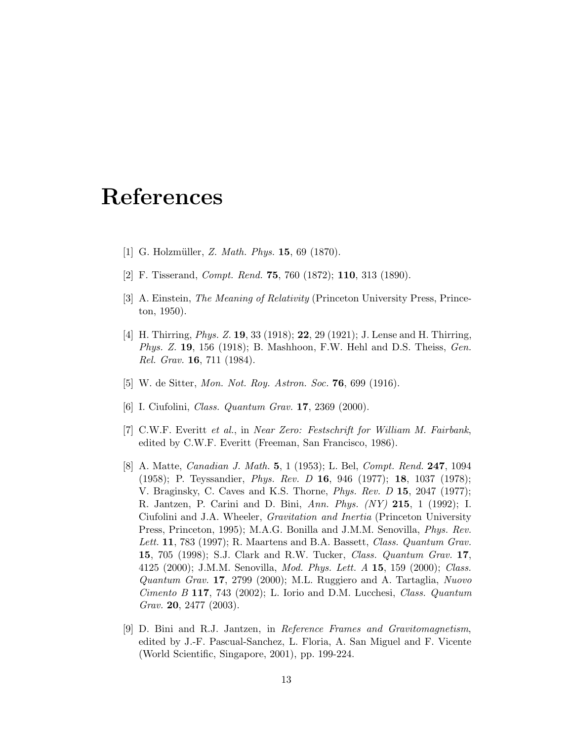## References

- <span id="page-12-1"></span><span id="page-12-0"></span>[1] G. Holzmüller, *Z. Math. Phys.* **15**, 69 (1870).
- <span id="page-12-2"></span>[2] F. Tisserand, *Compt. Rend.* 75, 760 (1872); 110, 313 (1890).
- [3] A. Einstein, *The Meaning of Relativity* (Princeton University Press, Princeton, 1950).
- <span id="page-12-3"></span>[4] H. Thirring, *Phys. Z.* 19, 33 (1918); 22, 29 (1921); J. Lense and H. Thirring, *Phys. Z.* 19, 156 (1918); B. Mashhoon, F.W. Hehl and D.S. Theiss, *Gen. Rel. Grav.* 16, 711 (1984).
- <span id="page-12-5"></span><span id="page-12-4"></span>[5] W. de Sitter, *Mon. Not. Roy. Astron. Soc.* 76, 699 (1916).
- <span id="page-12-6"></span>[6] I. Ciufolini, *Class. Quantum Grav.* 17, 2369 (2000).
- [7] C.W.F. Everitt *et al.*, in *Near Zero: Festschrift for William M. Fairbank*, edited by C.W.F. Everitt (Freeman, San Francisco, 1986).
- <span id="page-12-7"></span>[8] A. Matte, *Canadian J. Math.* 5, 1 (1953); L. Bel, *Compt. Rend.* 247, 1094 (1958); P. Teyssandier, *Phys. Rev. D* 16, 946 (1977); 18, 1037 (1978); V. Braginsky, C. Caves and K.S. Thorne, *Phys. Rev. D* 15, 2047 (1977); R. Jantzen, P. Carini and D. Bini, *Ann. Phys. (NY)* 215, 1 (1992); I. Ciufolini and J.A. Wheeler, *Gravitation and Inertia* (Princeton University Press, Princeton, 1995); M.A.G. Bonilla and J.M.M. Senovilla, *Phys. Rev. Lett.* 11, 783 (1997); R. Maartens and B.A. Bassett, *Class. Quantum Grav.* 15, 705 (1998); S.J. Clark and R.W. Tucker, *Class. Quantum Grav.* 17, 4125 (2000); J.M.M. Senovilla, *Mod. Phys. Lett. A* 15, 159 (2000); *Class. Quantum Grav.* 17, 2799 (2000); M.L. Ruggiero and A. Tartaglia, *Nuovo Cimento B* 117, 743 (2002); L. Iorio and D.M. Lucchesi, *Class. Quantum Grav.* 20, 2477 (2003).
- <span id="page-12-8"></span>[9] D. Bini and R.J. Jantzen, in *Reference Frames and Gravitomagnetism*, edited by J.-F. Pascual-Sanchez, L. Floria, A. San Miguel and F. Vicente (World Scientific, Singapore, 2001), pp. 199-224.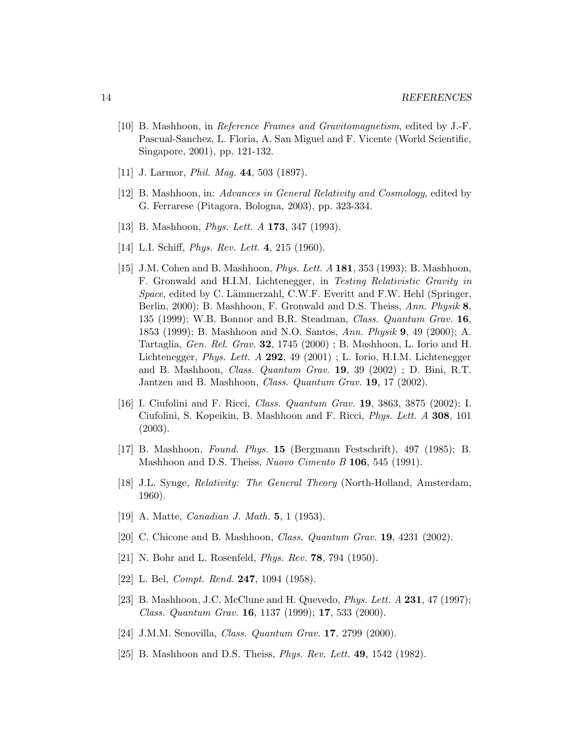- <span id="page-13-0"></span>[10] B. Mashhoon, in *Reference Frames and Gravitomagnetism*, edited by J.-F. Pascual-Sanchez, L. Floria, A. San Miguel and F. Vicente (World Scientific, Singapore, 2001), pp. 121-132.
- <span id="page-13-2"></span><span id="page-13-1"></span>[11] J. Larmor, *Phil. Mag.* 44, 503 (1897).
- <span id="page-13-3"></span>[12] B. Mashhoon, in: *Advances in General Relativity and Cosmology*, edited by G. Ferrarese (Pitagora, Bologna, 2003), pp. 323-334.
- <span id="page-13-4"></span>[13] B. Mashhoon, *Phys. Lett. A* 173, 347 (1993).
- <span id="page-13-5"></span>[14] L.I. Schiff, *Phys. Rev. Lett.* 4, 215 (1960).
- [15] J.M. Cohen and B. Mashhoon, *Phys. Lett. A* 181, 353 (1993); B. Mashhoon, F. Gronwald and H.I.M. Lichtenegger, in *Testing Relativistic Gravity in Space*, edited by C. Lämmerzahl, C.W.F. Everitt and F.W. Hehl (Springer, Berlin, 2000); B. Mashhoon, F. Gronwald and D.S. Theiss, *Ann. Physik* 8, 135 (1999); W.B. Bonnor and B.R. Steadman, *Class. Quantum Grav.* 16, 1853 (1999); B. Mashhoon and N.O. Santos, *Ann. Physik* 9, 49 (2000); A. Tartaglia, *Gen. Rel. Grav.* 32, 1745 (2000) ; B. Mashhoon, L. Iorio and H. Lichtenegger, *Phys. Lett. A* 292, 49 (2001) ; L. Iorio, H.I.M. Lichtenegger and B. Mashhoon, *Class. Quantum Grav.* 19, 39 (2002) ; D. Bini, R.T. Jantzen and B. Mashhoon, *Class. Quantum Grav.* 19, 17 (2002).
- <span id="page-13-6"></span>[16] I. Ciufolini and F. Ricci, *Class. Quantum Grav.* 19, 3863, 3875 (2002); I. Ciufolini, S. Kopeikin, B. Mashhoon and F. Ricci, *Phys. Lett. A* 308, 101 (2003).
- <span id="page-13-8"></span><span id="page-13-7"></span>[17] B. Mashhoon, *Found. Phys.* 15 (Bergmann Festschrift), 497 (1985); B. Mashhoon and D.S. Theiss, *Nuovo Cimento B* 106, 545 (1991).
- [18] J.L. Synge, *Relativity: The General Theory* (North-Holland, Amsterdam, 1960).
- <span id="page-13-10"></span><span id="page-13-9"></span>[19] A. Matte, *Canadian J. Math.* 5, 1 (1953).
- <span id="page-13-11"></span>[20] C. Chicone and B. Mashhoon, *Class. Quantum Grav.* 19, 4231 (2002).
- <span id="page-13-12"></span>[21] N. Bohr and L. Rosenfeld, *Phys. Rev.* 78, 794 (1950).
- <span id="page-13-13"></span>[22] L. Bel, *Compt. Rend.* 247, 1094 (1958).
- [23] B. Mashhoon, J.C. McClune and H. Quevedo, *Phys. Lett. A* 231, 47 (1997); *Class. Quantum Grav.* 16, 1137 (1999); 17, 533 (2000).
- <span id="page-13-15"></span><span id="page-13-14"></span>[24] J.M.M. Senovilla, *Class. Quantum Grav.* 17, 2799 (2000).
- [25] B. Mashhoon and D.S. Theiss, *Phys. Rev. Lett.* 49, 1542 (1982).